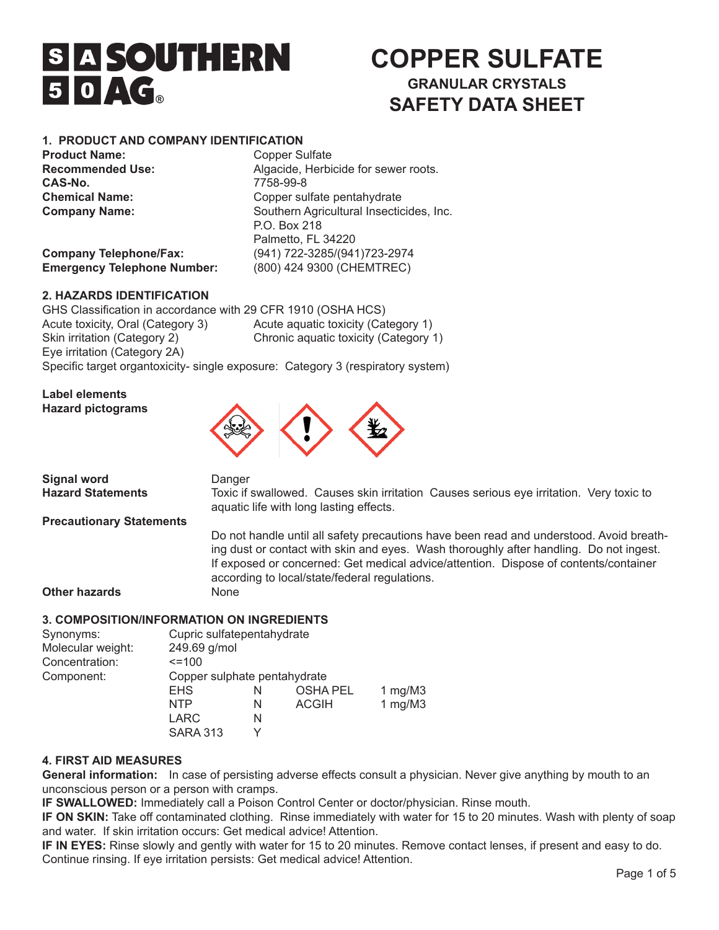# **SIA SOUTHERN**  $50AC<sub>a</sub>$

## **COPPER SULFATE GRANULAR CRYSTALS SAFETY DATA SHEET**

## **1. PRODUCT AND COMPANY IDENTIFICATION**

**Product Name:** Copper Sulfate<br> **Recommended Use:** Algacide, Herbi **CAS-No.** 7758-99-8

Algacide, Herbicide for sewer roots. **Chemical Name:** Copper sulfate pentahydrate **Company Name: Company Name:** Southern Agricultural Insecticides, Inc. P.O. Box 218 Palmetto, FL 34220 **Company Telephone/Fax:** (941) 722-3285/(941)723-2974 **Emergency Telephone Number:** (800) 424 9300 (CHEMTREC)

**2. HAZARDS IDENTIFICATION** 

GHS Classification in accordance with 29 CFR 1910 (OSHA HCS) Acute toxicity, Oral (Category 3) Acute aquatic toxicity (Category 1) Skin irritation (Category 2) Chronic aquatic toxicity (Category 1) Eye irritation (Category 2A)

Specific target organtoxicity- single exposure: Category 3 (respiratory system)

**Label elements Hazard pictograms** 



**Signal word Danger** 

**Hazard Statements Toxic if swallowed. Causes skin irritation Causes serious eye irritation. Very toxic to**  aquatic life with long lasting effects.

**Precautionary Statements**

 Do not handle until all safety precautions have been read and understood. Avoid breath- ing dust or contact with skin and eyes. Wash thoroughly after handling. Do not ingest. If exposed or concerned: Get medical advice/attention. Dispose of contents/container according to local/state/federal regulations.

**Other hazards None** 

## **3. COMPOSITION/INFORMATION ON INGREDIENTS**

| 249.69 g/mol                 |   |                 |                            |
|------------------------------|---|-----------------|----------------------------|
| $=100$                       |   |                 |                            |
| Copper sulphate pentahydrate |   |                 |                            |
| <b>EHS</b>                   | N | <b>OSHA PEL</b> | 1 mg/M $3$                 |
| <b>NTP</b>                   | N | <b>ACGIH</b>    | 1 mg/M $3$                 |
| LARC                         | N |                 |                            |
| <b>SARA 313</b>              | ∨ |                 |                            |
|                              |   |                 | Cupric sulfatepentahydrate |

## **4. FIRST AID MEASURES**

General information: In case of persisting adverse effects consult a physician. Never give anything by mouth to an unconscious person or a person with cramps.

**IF SWALLOWED:** Immediately call a Poison Control Center or doctor/physician. Rinse mouth.

**IF ON SKIN:** Take off contaminated clothing. Rinse immediately with water for 15 to 20 minutes. Wash with plenty of soap and water. If skin irritation occurs: Get medical advice! Attention.

**IF IN EYES:** Rinse slowly and gently with water for 15 to 20 minutes. Remove contact lenses, if present and easy to do. Continue rinsing. If eye irritation persists: Get medical advice! Attention.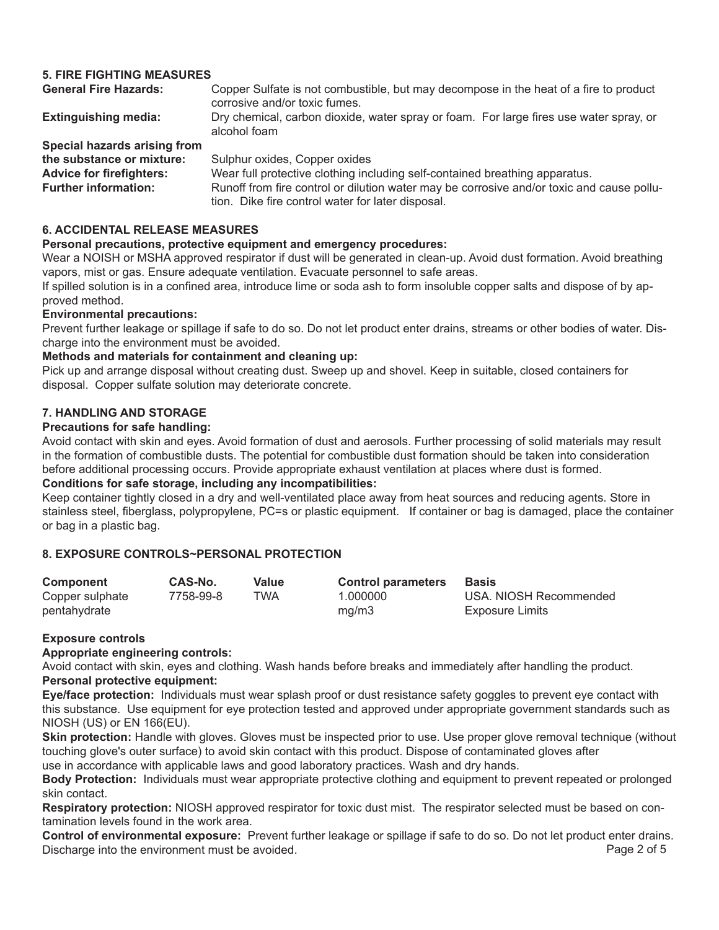## **5. FIRE FIGHTING MEASURES**

| <b>General Fire Hazards:</b>    | Copper Sulfate is not combustible, but may decompose in the heat of a fire to product<br>corrosive and/or toxic fumes.                         |
|---------------------------------|------------------------------------------------------------------------------------------------------------------------------------------------|
| <b>Extinguishing media:</b>     | Dry chemical, carbon dioxide, water spray or foam. For large fires use water spray, or<br>alcohol foam                                         |
| Special hazards arising from    |                                                                                                                                                |
| the substance or mixture:       | Sulphur oxides, Copper oxides                                                                                                                  |
| <b>Advice for firefighters:</b> | Wear full protective clothing including self-contained breathing apparatus.                                                                    |
| <b>Further information:</b>     | Runoff from fire control or dilution water may be corrosive and/or toxic and cause pollu-<br>tion. Dike fire control water for later disposal. |

## **6. ACCIDENTAL RELEASE MEASURES**

## **Personal precautions, protective equipment and emergency procedures:**

Wear a NOISH or MSHA approved respirator if dust will be generated in clean-up. Avoid dust formation. Avoid breathing vapors, mist or gas. Ensure adequate ventilation. Evacuate personnel to safe areas.

If spilled solution is in a confined area, introduce lime or soda ash to form insoluble copper salts and dispose of by approved method.

## **Environmental precautions:**

Prevent further leakage or spillage if safe to do so. Do not let product enter drains, streams or other bodies of water. Discharge into the environment must be avoided.

## **Methods and materials for containment and cleaning up:**

Pick up and arrange disposal without creating dust. Sweep up and shovel. Keep in suitable, closed containers for disposal. Copper sulfate solution may deteriorate concrete.

## **7. HANDLING AND STORAGE**

## **Precautions for safe handling:**

Avoid contact with skin and eyes. Avoid formation of dust and aerosols. Further processing of solid materials may result in the formation of combustible dusts. The potential for combustible dust formation should be taken into consideration before additional processing occurs. Provide appropriate exhaust ventilation at places where dust is formed. **Conditions for safe storage, including any incompatibilities:** 

## Keep container tightly closed in a dry and well-ventilated place away from heat sources and reducing agents. Store in stainless steel, fiberglass, polypropylene, PC=s or plastic equipment. If container or bag is damaged, place the container or bag in a plastic bag.

## **8. EXPOSURE CONTROLS~PERSONAL PROTECTION**

| Component       | CAS-No.   | Value | <b>Control parameters</b> | <b>Basis</b>           |
|-----------------|-----------|-------|---------------------------|------------------------|
| Copper sulphate | 7758-99-8 | TWA   | 1.000000                  | USA, NIOSH Recommended |
| pentahydrate    |           |       | mq/m3                     | Exposure Limits        |

## **Exposure controls**

**Appropriate engineering controls:**

Avoid contact with skin, eyes and clothing. Wash hands before breaks and immediately after handling the product. **Personal protective equipment:**

**Eye/face protection:** Individuals must wear splash proof or dust resistance safety goggles to prevent eye contact with this substance. Use equipment for eye protection tested and approved under appropriate government standards such as NIOSH (US) or EN 166(EU).

**Skin protection:** Handle with gloves. Gloves must be inspected prior to use. Use proper glove removal technique (without touching glove's outer surface) to avoid skin contact with this product. Dispose of contaminated gloves after use in accordance with applicable laws and good laboratory practices. Wash and dry hands.

**Body Protection:** Individuals must wear appropriate protective clothing and equipment to prevent repeated or prolonged skin contact.

**Respiratory protection:** NIOSH approved respirator for toxic dust mist. The respirator selected must be based on contamination levels found in the work area.

**Control of environmental exposure:** Prevent further leakage or spillage if safe to do so. Do not let product enter drains. Discharge into the environment must be avoided. Discharge 2 of 5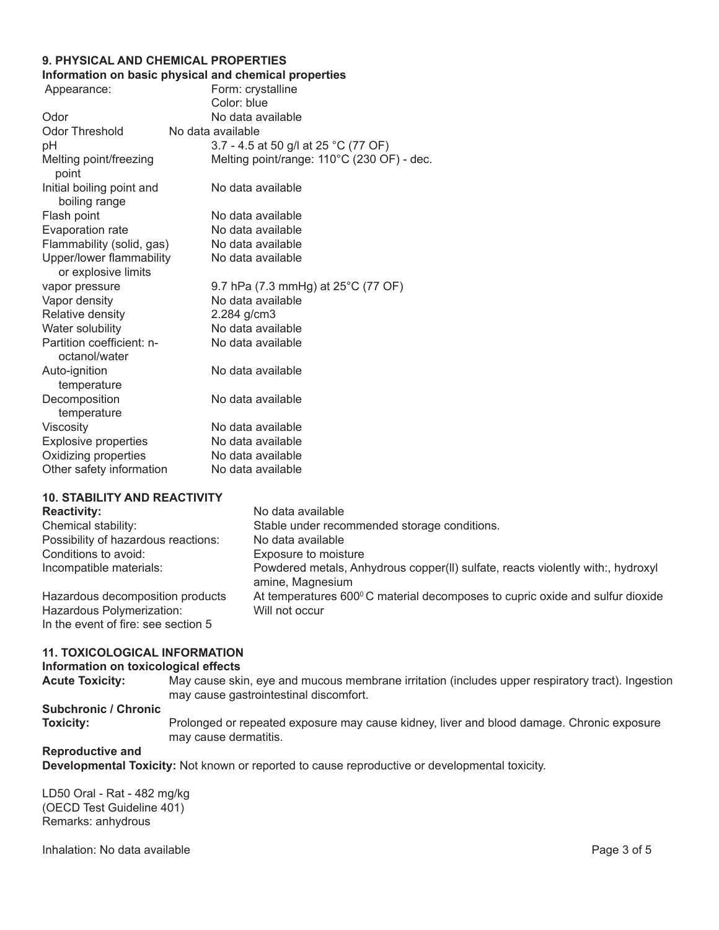## **9. PHYSICAL AND CHEMICAL PROPERTIES**

## **Information on basic physical and chemical properties**

| Appearance:                                     | Form: crystalline                            |
|-------------------------------------------------|----------------------------------------------|
|                                                 | Color: blue                                  |
| Odor                                            | No data available                            |
| Odor Threshold                                  | No data available                            |
| рH                                              | 3.7 - 4.5 at 50 g/l at 25 °C (77 OF)         |
| Melting point/freezing<br>point                 | Melting point/range: 110°C (230 OF) - dec.   |
| Initial boiling point and<br>boiling range      | No data available                            |
| Flash point                                     | No data available                            |
| Evaporation rate                                | No data available                            |
| Flammability (solid, gas)                       | No data available                            |
| Upper/lower flammability<br>or explosive limits | No data available                            |
| vapor pressure                                  | 9.7 hPa (7.3 mmHg) at $25^{\circ}$ C (77 OF) |
| Vapor density                                   | No data available                            |
| Relative density                                | 2.284 g/cm3                                  |
| Water solubility                                | No data available                            |
| Partition coefficient: n-<br>octanol/water      | No data available                            |
| Auto-ignition<br>temperature                    | No data available                            |
| Decomposition<br>temperature                    | No data available                            |
| Viscosity                                       | No data available                            |
| <b>Explosive properties</b>                     | No data available                            |
| Oxidizing properties                            | No data available                            |
| Other safety information                        | No data available                            |
|                                                 |                                              |

## **10. STABILITY AND REACTIVITY**

| <b>Reactivity:</b>                                               | No data available                                                                                   |
|------------------------------------------------------------------|-----------------------------------------------------------------------------------------------------|
| Chemical stability:                                              | Stable under recommended storage conditions.                                                        |
| Possibility of hazardous reactions:                              | No data available                                                                                   |
| Conditions to avoid:                                             | Exposure to moisture                                                                                |
| Incompatible materials:                                          | Powdered metals, Anhydrous copper(II) sulfate, reacts violently with:, hydroxyl<br>amine, Magnesium |
| Hazardous decomposition products                                 | At temperatures 600°C material decomposes to cupric oxide and sulfur dioxide                        |
| Hazardous Polymerization:<br>In the event of fire: see section 5 | Will not occur                                                                                      |

## **11. TOXICOLOGICAL INFORMATION**

### **Information on toxicological effects**

**Acute Toxicity:** May cause skin, eye and mucous membrane irritation (includes upper respiratory tract). Ingestion may cause gastrointestinal discomfort.

## **Subchronic / Chronic**

Prolonged or repeated exposure may cause kidney, liver and blood damage. Chronic exposure may cause dermatitis.

## **Reproductive and**

**Developmental Toxicity:** Not known or reported to cause reproductive or developmental toxicity.

LD50 Oral - Rat - 482 mg/kg (OECD Test Guideline 401) Remarks: anhydrous

Inhalation: No data available *Page 3 of 5 Page 3 of 5*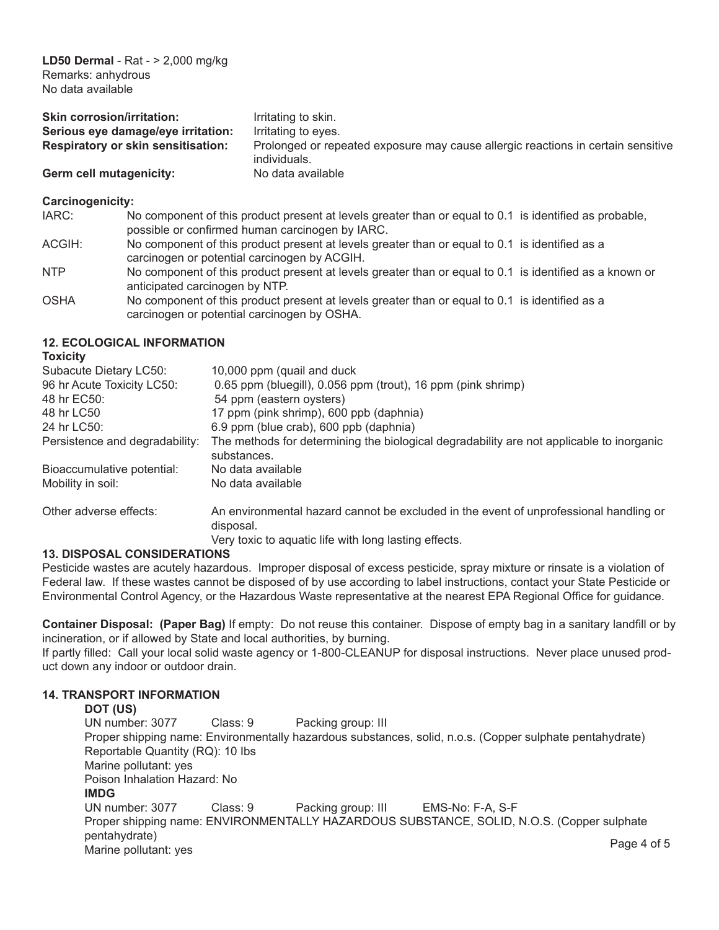| <b>Skin corrosion/irritation:</b>         | Irritating to skin.                                                                              |
|-------------------------------------------|--------------------------------------------------------------------------------------------------|
| Serious eye damage/eye irritation:        | Irritating to eyes.                                                                              |
| <b>Respiratory or skin sensitisation:</b> | Prolonged or repeated exposure may cause allergic reactions in certain sensitive<br>individuals. |
| Germ cell mutagenicity:                   | No data available                                                                                |

## **Carcinogenicity:**

| IARC:      | No component of this product present at levels greater than or equal to 0.1 is identified as probable,  |  |
|------------|---------------------------------------------------------------------------------------------------------|--|
|            | possible or confirmed human carcinogen by IARC.                                                         |  |
| ACGIH:     | No component of this product present at levels greater than or equal to 0.1 is identified as a          |  |
|            | carcinogen or potential carcinogen by ACGIH.                                                            |  |
| <b>NTP</b> | No component of this product present at levels greater than or equal to 0.1 is identified as a known or |  |
|            | anticipated carcinogen by NTP.                                                                          |  |
| OSHA       | No component of this product present at levels greater than or equal to 0.1 is identified as a          |  |

## **12. ECOLOGICAL INFORMATION**

 carcinogen or potential carcinogen by OSHA.

| 10,000 ppm (quail and duck)                                                                             |
|---------------------------------------------------------------------------------------------------------|
| 0.65 ppm (bluegill), 0.056 ppm (trout), 16 ppm (pink shrimp)                                            |
| 54 ppm (eastern oysters)                                                                                |
| 17 ppm (pink shrimp), 600 ppb (daphnia)                                                                 |
| 6.9 ppm (blue crab), 600 ppb (daphnia)                                                                  |
| The methods for determining the biological degradability are not applicable to inorganic<br>substances. |
| No data available                                                                                       |
| No data available                                                                                       |
| An environmental hazard cannot be excluded in the event of unprofessional handling or<br>disposal.      |
| Very toxic to aquatic life with long lasting effects.                                                   |
|                                                                                                         |

## **13. DISPOSAL CONSIDERATIONS**

Pesticide wastes are acutely hazardous. Improper disposal of excess pesticide, spray mixture or rinsate is a violation of Federal law. If these wastes cannot be disposed of by use according to label instructions, contact your State Pesticide or Environmental Control Agency, or the Hazardous Waste representative at the nearest EPA Regional Office for guidance.

**Container Disposal: (Paper Bag)** If empty: Do not reuse this container. Dispose of empty bag in a sanitary landfill or by incineration, or if allowed by State and local authorities, by burning.

If partly filled: Call your local solid waste agency or 1-800-CLEANUP for disposal instructions. Never place unused product down any indoor or outdoor drain.

## **14. TRANSPORT INFORMATION**

**DOT (US)**<br>
UN number: 3077 Class: 9 Packing group: III Proper shipping name: Environmentally hazardous substances, solid, n.o.s. (Copper sulphate pentahydrate) Reportable Quantity (RQ): 10 Ibs Marine pollutant: yes Poison Inhalation Hazard: No IMDG<br>UN number: 3077 Class: 9 Packing group: III EMS-No: F-A, S-F Proper shipping name: ENVIRONMENTALLY HAZARDOUS SUBSTANCE, SOLID, N.O.S. (Copper sulphate pentahydrate) pollutant: yes Page 4 of 5